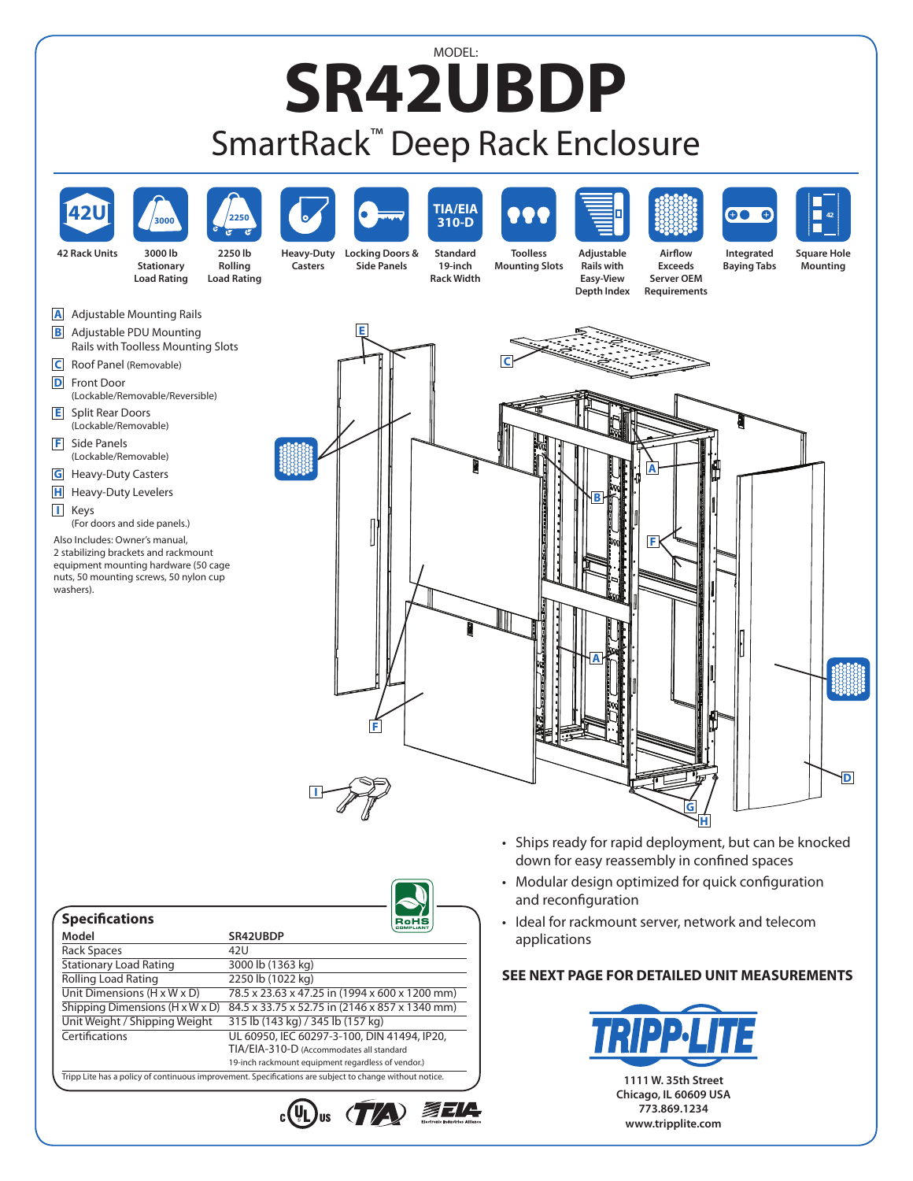## MODEL: **SR42UBDP** SmartRack™ Deep Rack Enclosure



• Ideal for rackmount server, network and telecom applications

## **SEE NEXT PAGE FOR DETAILED UNIT MEASUREMENTS**



| <b>Specifications</b>                   | RoHS                                               |
|-----------------------------------------|----------------------------------------------------|
| Model                                   | SR42UBDP                                           |
| <b>Rack Spaces</b>                      | 42U                                                |
| <b>Stationary Load Rating</b>           | 3000 lb (1363 kg)                                  |
| <b>Rolling Load Rating</b>              | 2250 lb (1022 kg)                                  |
| Unit Dimensions $(H \times W \times D)$ | 78.5 x 23.63 x 47.25 in (1994 x 600 x 1200 mm)     |
| Shipping Dimensions (H x W x D)         | 84.5 x 33.75 x 52.75 in (2146 x 857 x 1340 mm)     |
| Unit Weight / Shipping Weight           | 315 lb (143 kg) / 345 lb (157 kg)                  |
| Certifications                          | UL 60950, IEC 60297-3-100, DIN 41494, IP20,        |
|                                         | TIA/EIA-310-D (Accommodates all standard           |
|                                         | 19-inch rackmount equipment regardless of vendor.) |

 $\cdot$ (U)us (TA) EELA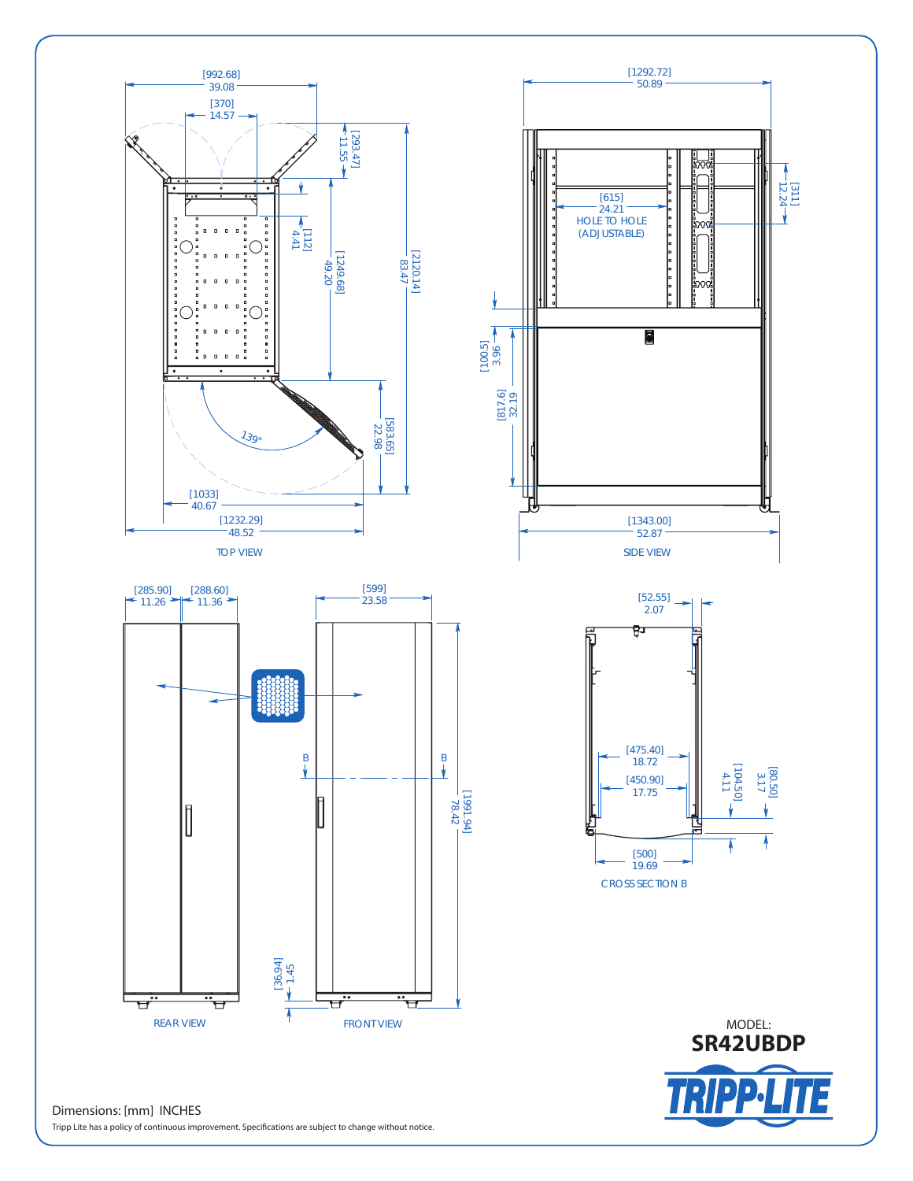

Tripp Lite has a policy of continuous improvement. Specifications are subject to change without notice.